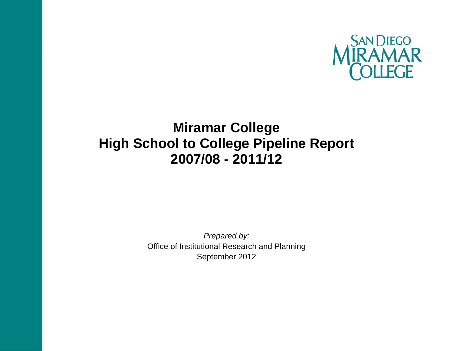

# **Miramar College High School to College Pipeline Report 2007/08 - 2011/12**

*Prepared by:*  Office of Institutional Research and Planning September 2012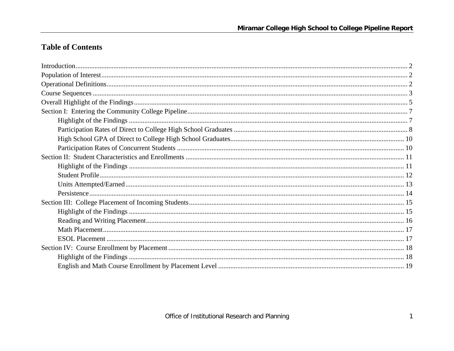## **Table of Contents**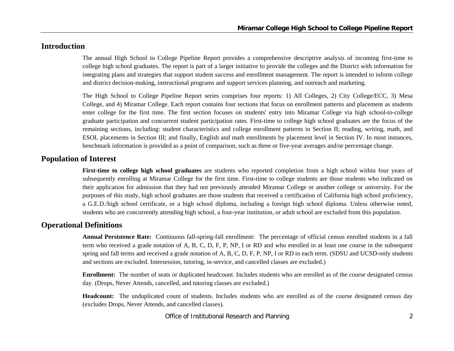## **Introduction**

The annual High School to College Pipeline Report provides a comprehensive descriptive analysis of incoming first-time to college high school graduates. The report is part of a larger initiative to provide the colleges and the District with information for integrating plans and strategies that support student success and enrollment management. The report is intended to inform college and district decision-making, instructional programs and support services planning, and outreach and marketing.

The High School to College Pipeline Report series comprises four reports: 1) All Colleges, 2) City College/ECC, 3) Mesa College, and 4) Miramar College. Each report contains four sections that focus on enrollment patterns and placement as students enter college for the first time. The first section focuses on students' entry into Miramar College via high school-to-college graduate participation and concurrent student participation rates. First-time to college high school graduates are the focus of the remaining sections, including: student characteristics and college enrollment patterns in Section II; reading, writing, math, and ESOL placements in Section III; and finally, English and math enrollments by placement level in Section IV. In most instances, benchmark information is provided as a point of comparison, such as three or five-year averages and/or percentage change.

## **Population of Interest**

**First-time to college high school graduates** are students who reported completion from a high school within four years of subsequently enrolling at Miramar College for the first time. First-time to college students are those students who indicated on their application for admission that they had not previously attended Miramar College or another college or university. For the purposes of this study, high school graduates are those students that received a certification of California high school proficiency, a G.E.D./high school certificate, or a high school diploma, including a foreign high school diploma. Unless otherwise noted, students who are concurrently attending high school, a four-year institution, or adult school are excluded from this population.

## **Operational Definitions**

**Annual Persistence Rate:** Continuous fall-spring-fall enrollment: The percentage of official census enrolled students in a fall term who received a grade notation of A, B, C, D, F, P, NP, I or RD and who enrolled in at least one course in the subsequent spring and fall terms and received a grade notation of A, B, C, D, F, P, NP, I or RD in each term. (SDSU and UCSD-only students and sections are excluded. Intersession, tutoring, in-service, and cancelled classes are excluded.)

**Enrollment:** The number of seats or duplicated headcount. Includes students who are enrolled as of the course designated census day. (Drops, Never Attends, cancelled, and tutoring classes are excluded.)

**Headcount:** The unduplicated count of students. Includes students who are enrolled as of the course designated census day (excludes Drops, Never Attends, and cancelled classes).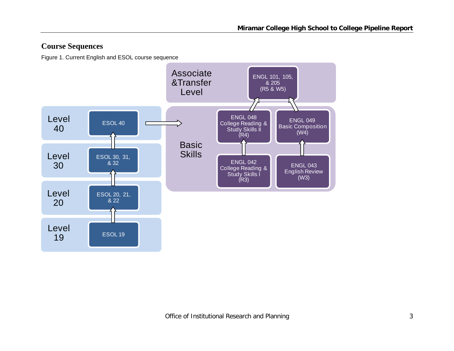## **Course Sequences**

Figure 1. Current English and ESOL course sequence

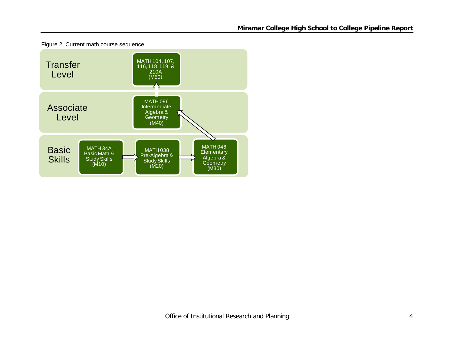

Figure 2. Current math course sequence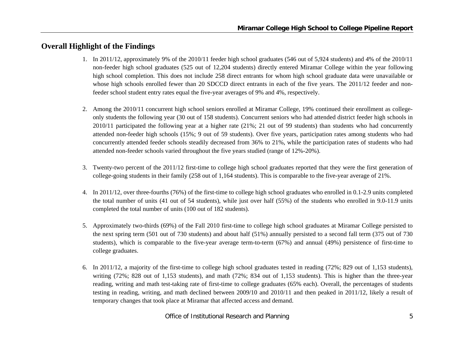## **Overall Highlight of the Findings**

- 1. In 2011/12, approximately 9% of the 2010/11 feeder high school graduates (546 out of 5,924 students) and 4% of the 2010/11 non-feeder high school graduates (525 out of 12,204 students) directly entered Miramar College within the year following high school completion. This does not include 258 direct entrants for whom high school graduate data were unavailable or whose high schools enrolled fewer than 20 SDCCD direct entrants in each of the five years. The 2011/12 feeder and nonfeeder school student entry rates equal the five-year averages of 9% and 4%, respectively.
- 2. Among the 2010/11 concurrent high school seniors enrolled at Miramar College, 19% continued their enrollment as collegeonly students the following year (30 out of 158 students). Concurrent seniors who had attended district feeder high schools in 2010/11 participated the following year at a higher rate (21%; 21 out of 99 students) than students who had concurrently attended non-feeder high schools (15%; 9 out of 59 students). Over five years, participation rates among students who had concurrently attended feeder schools steadily decreased from 36% to 21%, while the participation rates of students who had attended non-feeder schools varied throughout the five years studied (range of 12%-20%).
- 3. Twenty-two percent of the 2011/12 first-time to college high school graduates reported that they were the first generation of college-going students in their family (258 out of 1,164 students). This is comparable to the five-year average of 21%.
- 4. In 2011/12, over three-fourths (76%) of the first-time to college high school graduates who enrolled in 0.1-2.9 units completed the total number of units (41 out of 54 students), while just over half (55%) of the students who enrolled in 9.0-11.9 units completed the total number of units (100 out of 182 students).
- 5. Approximately two-thirds (69%) of the Fall 2010 first-time to college high school graduates at Miramar College persisted to the next spring term (501 out of 730 students) and about half (51%) annually persisted to a second fall term (375 out of 730 students), which is comparable to the five-year average term-to-term (67%) and annual (49%) persistence of first-time to college graduates.
- 6. In 2011/12, a majority of the first-time to college high school graduates tested in reading (72%; 829 out of 1,153 students), writing (72%; 828 out of 1,153 students), and math (72%; 834 out of 1,153 students). This is higher than the three-year reading, writing and math test-taking rate of first-time to college graduates (65% each). Overall, the percentages of students testing in reading, writing, and math declined between 2009/10 and 2010/11 and then peaked in 2011/12, likely a result of temporary changes that took place at Miramar that affected access and demand.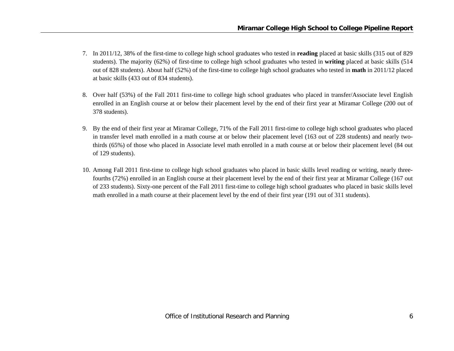- 7. In 2011/12, 38% of the first-time to college high school graduates who tested in **reading** placed at basic skills (315 out of 829 students). The majority (62%) of first-time to college high school graduates who tested in **writing** placed at basic skills (514 out of 828 students). About half (52%) of the first-time to college high school graduates who tested in **math** in 2011/12 placed at basic skills (433 out of 834 students).
- 8. Over half (53%) of the Fall 2011 first-time to college high school graduates who placed in transfer/Associate level English enrolled in an English course at or below their placement level by the end of their first year at Miramar College (200 out of 378 students).
- 9. By the end of their first year at Miramar College, 71% of the Fall 2011 first-time to college high school graduates who placed in transfer level math enrolled in a math course at or below their placement level (163 out of 228 students) and nearly twothirds (65%) of those who placed in Associate level math enrolled in a math course at or below their placement level (84 out of 129 students).
- 10. Among Fall 2011 first-time to college high school graduates who placed in basic skills level reading or writing, nearly threefourths (72%) enrolled in an English course at their placement level by the end of their first year at Miramar College (167 out of 233 students). Sixty-one percent of the Fall 2011 first-time to college high school graduates who placed in basic skills level math enrolled in a math course at their placement level by the end of their first year (191 out of 311 students).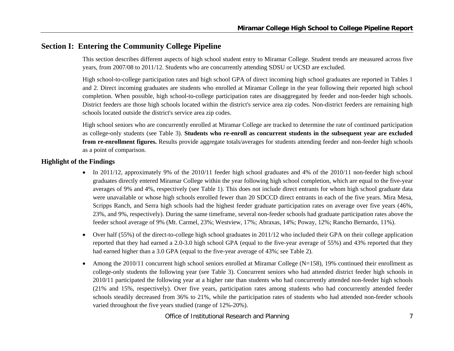## **Section I: Entering the Community College Pipeline**

This section describes different aspects of high school student entry to Miramar College. Student trends are measured across five years, from 2007/08 to 2011/12. Students who are concurrently attending SDSU or UCSD are excluded.

High school-to-college participation rates and high school GPA of direct incoming high school graduates are reported in Tables 1 and 2. Direct incoming graduates are students who enrolled at Miramar College in the year following their reported high school completion. When possible, high school-to-college participation rates are disaggregated by feeder and non-feeder high schools. District feeders are those high schools located within the district's service area zip codes. Non-district feeders are remaining high schools located outside the district's service area zip codes.

High school seniors who are concurrently enrolled at Miramar College are tracked to determine the rate of continued participation as college-only students (see Table 3). **Students who re-enroll as concurrent students in the subsequent year are excluded from re-enrollment figures.** Results provide aggregate totals/averages for students attending feeder and non-feeder high schools as a point of comparison.

#### **Highlight of the Findings**

- In 2011/12, approximately 9% of the 2010/11 feeder high school graduates and 4% of the 2010/11 non-feeder high school graduates directly entered Miramar College within the year following high school completion, which are equal to the five-year averages of 9% and 4%, respectively (see Table 1). This does not include direct entrants for whom high school graduate data were unavailable or whose high schools enrolled fewer than 20 SDCCD direct entrants in each of the five years. Mira Mesa, Scripps Ranch, and Serra high schools had the highest feeder graduate participation rates on average over five years (46%, 23%, and 9%, respectively). During the same timeframe, several non-feeder schools had graduate participation rates above the feeder school average of 9% (Mt. Carmel, 23%; Westview, 17%; Abraxas, 14%; Poway, 12%; Rancho Bernardo, 11%).
- 0 Over half (55%) of the direct-to-college high school graduates in 2011/12 who included their GPA on their college application reported that they had earned a 2.0-3.0 high school GPA (equal to the five-year average of 55%) and 43% reported that they had earned higher than a 3.0 GPA (equal to the five-year average of 43%; see Table 2).
- 0 Among the 2010/11 concurrent high school seniors enrolled at Miramar College (N=158), 19% continued their enrollment as college-only students the following year (see Table 3). Concurrent seniors who had attended district feeder high schools in 2010/11 participated the following year at a higher rate than students who had concurrently attended non-feeder high schools (21% and 15%, respectively). Over five years, participation rates among students who had concurrently attended feeder schools steadily decreased from 36% to 21%, while the participation rates of students who had attended non-feeder schools varied throughout the five years studied (range of 12%-20%).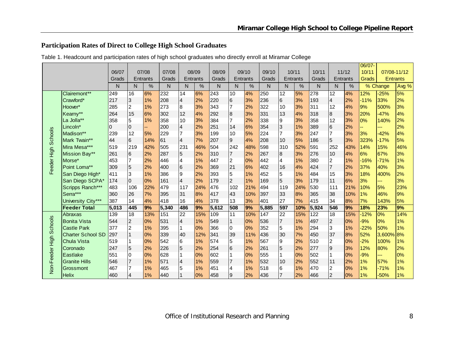## **Participation Rates of Direct to College High School Graduates**

|                     |                          |          |                |          |       |                         |          |       |                |          |              |                |     |       |                         |       | 06/07- |                 |       |
|---------------------|--------------------------|----------|----------------|----------|-------|-------------------------|----------|-------|----------------|----------|--------------|----------------|-----|-------|-------------------------|-------|--------|-----------------|-------|
|                     |                          | 06/07    |                | 07/08    | 07/08 |                         | 08/09    | 08/09 |                | 09/10    | 09/10        | 10/11          |     | 10/11 |                         | 11/12 | 10/11  | 07/08-11/12     |       |
|                     |                          | Grads    |                | Entrants | Grads |                         | Entrants | Grads |                | Entrants | Grads        | Entrants       |     | Grads | Entrants                |       | Grads  | <b>Entrants</b> |       |
|                     |                          | N        | N.             | $\%$     | N     | N                       | %        | N     | N              | %        | $\mathsf{N}$ | N              | %   | N     | N.                      | $\%$  |        | % Change        | Avg % |
|                     | Clairemont**             | 249      | 16             | 6%       | 232   | 14                      | 6%       | 243   | 10             | 4%       | 250          | 12             | 5%  | 278   | 12                      | 4%    | 12%    | $-25%$          | 5%    |
|                     | Crawford*                | 217      | 3              | 1%       | 208   | $\overline{4}$          | 2%       | 220   | 16             | 3%       | 236          | 6              | 3%  | 193   | $\overline{4}$          | 2%    | $-11%$ | 33%             | 2%    |
|                     | Hoover*                  | 285      | $\overline{2}$ | 1%       | 273   | 8                       | 3%       | 343   | 17             | 2%       | 322          | 10             | 3%  | 311   | 12                      | 4%    | 9%     | 500%            | 3%    |
|                     | Kearny**                 | 264      | 15             | 6%       | 302   | 12                      | 4%       | 292   | 8              | 3%       | 331          | 13             | 4%  | 318   | $\boldsymbol{8}$        | 3%    | 20%    | $-47%$          | 4%    |
|                     | La Jolla**               | 358      | 5              | 1%       | 358   | 10                      | 3%       | 384   | $\overline{7}$ | 2%       | 338          | 9              | 3%  | 358   | 12                      | 3%    | 0%     | 140%            | 2%    |
|                     | Lincoln*                 | $\Omega$ | $\overline{0}$ | н.       | 200   | $\overline{4}$          | 2%       | 251   | 14             | 6%       | 354          | $\overline{3}$ | 1%  | 389   | $6\phantom{.}6$         | 2%    | ш.     | ---             | 2%    |
| Feeder High Schools | Madison**                | 239      | 12             | 5%       | 229   | $\overline{7}$          | 3%       | 199   | 10             | 5%       | 224          | $\overline{7}$ | 3%  | 247   | $\overline{7}$          | 3%    | 3%     | $-42%$          | 4%    |
|                     | Mark Twain**             | 44       | 6              | 14%      | 61    | $\overline{4}$          | 7%       | 207   | 9              | 4%       | 208          | 10             | 5%  | 186   | 5                       | 3%    | 323%   | $-17%$          | 5%    |
|                     | Mira Mesa***             | 519      | 219            | 42%      | 505   | 231                     | 46%      | 504   | 242            | 48%      | 598          | 310            | 52% | 591   | 252                     | 43%   | 14%    | 15%             | 46%   |
|                     | Mission Bay**            | 261      | $\,6$          | 2%       | 287   | 5                       | 2%       | 310   | $\overline{7}$ | 2%       | 267          | $\bf{8}$       | 3%  | 276   | 10                      | 4%    | 6%     | 67%             | 3%    |
|                     | Morse*                   | 453      | 17             | 2%       | 446   | 4                       | 1%       | 447   | 12             | 0%       | 442          | $\overline{4}$ | 1%  | 380   | $\overline{c}$          | 1%    | $-16%$ | $-71%$          | 1%    |
|                     | Point Loma**             | 309      | 5              | 2%       | 400   | $6\overline{6}$         | 2%       | 369   | 21             | 6%       | 402          | 16             | 4%  | 424   | $\overline{7}$          | 2%    | 37%    | 40%             | 3%    |
|                     | San Diego High*          | 411      | 3              | 1%       | 386   | 9                       | 2%       | 393   | 5              | 1%       | 452          | 5              | 1%  | 484   | 15                      | 3%    | 18%    | 400%            | 2%    |
|                     | San Diego SCPA*          | 174      | $\mathbf{0}$   | 0%       | 161   | $\overline{\mathbf{4}}$ | 2%       | 179   | 2              | 1%       | 169          | $\overline{5}$ | 3%  | 179   | 11                      | 6%    | 3%     | ---             | 3%    |
|                     | Scripps Ranch***         | 483      | 106            | 22%      | 479   | 117                     | 24%      | 476   | 102            | 21%      | 494          | 119            | 24% | 530   | 111                     | 21%   | 10%    | 5%              | 23%   |
|                     | Serra***                 | 360      | 26             | 7%       | 395   | 31                      | 8%       | 417   | 43             | 10%      | 397          | 33             | 8%  | 365   | 38                      | 10%   | 1%     | 46%             | 9%    |
|                     | University City***       | 387      | 14             | 4%       | 418   | 16                      | 4%       | 378   | 13             | 3%       | 401          | 27             | 7%  | 415   | 34                      | 8%    | 7%     | 143%            | 5%    |
|                     | <b>Feeder Total</b>      | 5,013    | 445            | 9%       | 5,340 | 486                     | 9%       | 5,612 | 508            | 9%       | 5,885        | 597            | 10% | 5,924 | 546                     | 9%    | 18%    | 23%             | 9%    |
|                     | Abraxas                  | 139      | 18             | 13%      | 151   | 22                      | 15%      | 109   | 11             | 10%      | 147          | 22             | 15% | 122   | 18                      | 15%   | $-12%$ | $0\%$           | 14%   |
| <b>Schools</b>      | <b>Bonita Vista</b>      | 544      | $\overline{2}$ | 0%       | 531   | $\overline{4}$          | 1%       | 549   | 11             | 0%       | 536          | $\overline{7}$ | 1%  | 497   | $\overline{\mathbf{c}}$ | 0%    | $-9%$  | 0%              | 1%    |
|                     | <b>Castle Park</b>       | 377      | $\overline{c}$ | 1%       | 395   |                         | 0%       | 366   | I0             | 0%       | 352          | 5              | 1%  | 294   | $\overline{3}$          | 1%    | $-22%$ | 50%             | 1%    |
|                     | <b>Charter School SD</b> | 297      |                | 0%       | 339   | 40                      | 12%      | 341   | 39             | 11%      | 436          | 30             | 7%  | 450   | 37                      | 8%    | 52%    | 3,600%          | 8%    |
|                     | Chula Vista              | 519      |                | 0%       | 542   | 6                       | 1%       | 574   | 5              | 1%       | 567          | 9              | 2%  | 510   | $\overline{c}$          | 0%    | $-2%$  | 100%            | 1%    |
|                     | Coronado                 | 247      | 5              | 2%       | 226   | $\overline{5}$          | 2%       | 254   | 6              | 2%       | 261          | $\overline{5}$ | 2%  | 277   | $\overline{9}$          | 3%    | 12%    | 80%             | 2%    |
| Non-Feeder High     | Eastlake                 | 551      | $\overline{0}$ | 0%       | 628   | $\mathbf{1}$            | 0%       | 602   | l1.            | 0%       | 555          | $\mathbf{1}$   | 0%  | 502   | $\mathbf{1}$            | 0%    | $-9%$  | ---             | 0%    |
|                     | <b>Granite Hills</b>     | 546      |                | 1%       | 571   | $\overline{4}$          | 1%       | 559   | $\overline{7}$ | 1%       | 532          | 10             | 2%  | 552   | 11                      | 2%    | 1%     | 57%             | 1%    |
|                     | Grossmont                | 467      |                | 1%       | 465   | 5                       | 1%       | 451   | $\overline{4}$ | 1%       | 518          | 6              | 1%  | 470   | 2                       | 0%    | 1%     | $-71%$          | 1%    |
|                     | <b>Helix</b>             | 460      | 4              | 1%       | 440   |                         | 0%       | 458   | 9              | 2%       | 436          | $\overline{7}$ | 2%  | 466   | $\overline{c}$          | 0%    | 1%     | $-50%$          | 1%    |

Table 1. Headcount and participation rates of high school graduates who directly enroll at Miramar College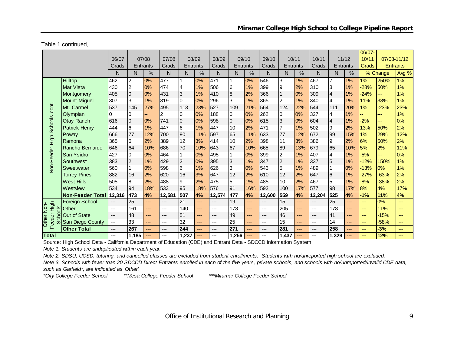Table 1 continued,

|                           |                         |        |                 |                 |                |                  |       |        |                 |       |        |                |               |        |                 |                | 06/07-                 |          |                 |
|---------------------------|-------------------------|--------|-----------------|-----------------|----------------|------------------|-------|--------|-----------------|-------|--------|----------------|---------------|--------|-----------------|----------------|------------------------|----------|-----------------|
|                           |                         | 06/07  |                 | 07/08           | 07/08          |                  | 08/09 | 08/09  |                 | 09/10 | 09/10  | 10/11          |               | 10/11  | 11/12           |                | 10/11                  |          | 07/08-11/12     |
|                           |                         | Grads  |                 | <b>Entrants</b> | Grads          | <b>Entrants</b>  |       | Grads  | <b>Entrants</b> |       | Grads  | Entrants       |               | Grads  | <b>Entrants</b> |                | Grads                  |          | <b>Entrants</b> |
|                           |                         | N      | N               | $\frac{0}{0}$   | N              | N                | %     | N      | N               | %     | N      | N.             | $\frac{0}{0}$ | N      | N.              | %              |                        | % Change | Avg %           |
|                           | Hilltop                 | 462    | 2               | $0\%$           | 477            | 1                | $0\%$ | 471    | $\mathbf{1}$    | $0\%$ | 546    | 3              | 1%            | 467    | $\overline{7}$  | $1\%$          | $1\%$                  | 250%     | $1\%$           |
|                           | <b>Mar Vista</b>        | 430    | $\overline{c}$  | 0%              | 474            | 4                | 1%    | 506    | l6              | 1%    | 399    | 19             | 2%            | 310    | 3               | 1%             | $-28%$                 | 50%      | 1%              |
|                           | Montgomery              | 405    | $\overline{0}$  | 0%              | 431            | $\overline{3}$   | 1%    | 410    | $\overline{8}$  | 2%    | 366    |                | 0%            | 309    | $\overline{4}$  | 1%             | $-24%$                 | ---      | 1%              |
|                           | <b>Mount Miguel</b>     | 307    | 3               | 1%              | 319            | $\Omega$         | 0%    | 296    | 3               | 1%    | 365    | $\overline{2}$ | 1%            | 340    | 4               | 1%             | 11%                    | 33%      | 1%              |
| cont.                     | Mt. Carmel              | 537    | 145             | 27%             | 495            | 113              | 23%   | 527    | 109             | 21%   | 564    | 124            | 22%           | 544    | 111             | 20%            | 1%                     | $-23%$   | 23%             |
|                           | Olympian                | 0      | 0               |                 | $\overline{c}$ | 0                | 0%    | 188    | 0               | 0%    | 262    | 10             | 0%            | 327    | 4               | 1%             |                        | ---      | 1%              |
|                           | <b>Otay Ranch</b>       | 616    | $\overline{0}$  | 0%              | 741            | $\overline{0}$   | 0%    | 598    | $\overline{0}$  | 0%    | 615    | 3              | 0%            | 604    | $\overline{4}$  | 1%             | $-2%$                  | ---      | 0%              |
|                           | <b>Patrick Henry</b>    | 444    | 6               | 1%              | 447            | 6                | 1%    | 447    | 10              | 2%    | 471    | $\overline{7}$ | 1%            | 502    | 9               | 2%             | 13%                    | 50%      | 2%              |
|                           | Poway                   | 666    | 77              | 12%             | 700            | 80               | 11%   | 597    | 65              | 11%   | 633    | 77             | 12%           | 672    | 99              | 15%            | 1%                     | 29%      | 12%             |
|                           | Ramona                  | 365    | $6\overline{6}$ | 2%              | 389            | 12               | 3%    | 414    | 10              | 2%    | 398    | 11             | 3%            | 386    | 9               | 2%             | 6%                     | 50%      | 2%              |
|                           | Rancho Bernardo         | 646    | 64              | 10%             | 686            | 70               | 10%   | 643    | 67              | 10%   | 665    | 89             | 13%           | 679    | 65              | 10%            | 5%                     | 2%       | 11%             |
|                           | San Ysidro              | 427    | I٥              | 0%              | 464            | 1                | 0%    | 495    | $\mathbf{1}$    | 0%    | 399    | $\overline{c}$ | 1%            | 407    | 4               | 1%             | $-5%$                  |          | 0%              |
|                           | Southwest               | 383    | $\overline{2}$  | 1%              | 429            | $\boldsymbol{2}$ | 0%    | 395    | 3               | 1%    | 347    | 2              | 1%            | 337    | 5               | 1%             | $-12%$                 | 150%     | 1%              |
| Non-Feeder High Schools   | Sweetwater              | 560    |                 | 0%              | 598            | $\overline{6}$   | 1%    | 626    | 3               | 0%    | 543    | 5              | 1%            | 489    | 1               | 0%             | $-13%$                 | 0%       | 1%              |
|                           | <b>Torrey Pines</b>     | 882    | 16              | 2%              | 620            | 16               | 3%    | 647    | 12              | 2%    | 610    | 12             | 2%            | 647    | $6\phantom{a}$  | 1%             | $-27%$                 | $-63%$   | 2%              |
|                           | <b>West Hills</b>       | 505    | 8               | 2%              | 488            | 9                | 2%    | 475    | 5               | 1%    | 485    | 10             | 2%            | 467    | 5               | 1%             | $-8%$                  | $-38%$   | 2%              |
|                           | Westview                | 534    | 94              | 18%             | 533            | 95               | 18%   | 576    | 91              | 16%   | 592    | 100            | 17%           | 577    | 98              | 17%            | 8%                     | 4%       | 17%             |
|                           | <b>Non-Feeder Total</b> | 12,316 | 473             | 4%              | 12,581         | 507              | 4%    | 12,574 | 477             | 4%    | 12,600 | 559            | 4%            | 12,204 | 525             | 4%             | $-1%$                  | 11%      | 4%              |
|                           | <b>Foreign School</b>   | $---$  | 25              | ---             | $---$          | $\overline{21}$  | ---   | $---$  | 19              | ---   | $---$  | 15             | ---           | $---$  | 25              | $\overline{a}$ | ---                    | 0%       | ---             |
| d <sub>s</sub>            | Other                   | $---$  | 161             | ---             | $---$          | 140              | ---   | $---$  | 178             | ---   | ---    | 205            | ---           | ---    | 178             | $\cdots$       | $---$                  | 11%      | ---             |
| ğ                         | Out of State            | $---$  | 48              | ---             | ---            | 51               | ---   | ---    | 49              | ---   | ---    | 46             | ---           | $---$  | 41              | $---$          | $\qquad \qquad \cdots$ | $-15%$   | ---             |
| Feeder High<br>Other Non- | San Diego County        | ---    | 33              | ---             | $---$          | 32               | ---   | ---    | 25              | $---$ | ---    | 15             | $---$         | ---    | 14              | $---$          | $\qquad \qquad \cdots$ | $-58%$   | ---             |
|                           | <b>Other Total</b>      | ---    | 267             |                 | ---            | 244              | ---   | ---    | 271             | ---   | ---    | 281            | ---           | ---    | 258             | ---            | ---                    | 3%       | ---             |
| Total                     |                         | ---    | 1,185           |                 | ---            | 1,237            | ---   |        | ,256            | ---   |        | 1,437          | ---           |        | 1,329           | ---            |                        | 12%      | ---             |

Source: High School Data - California Department of Education (CDE) and Entrant Data - SDCCD Information System

*Note 1. Students are unduplicated within each year.*

*Note 2. SDSU, UCSD, tutoring, and cancelled classes are excluded from student enrollments. Students with no/unreported high school are excluded.*

*Note 3. Schools with fewer than 20 SDCCD Direct Entrants enrolled in each of the five years, private schools, and schools with no/unreported/invalid CDE data, such as Garfield\*, are indicated as 'Other'.*

*\*City College Feeder School \*\*Mesa College Feeder School \*\*\*Miramar College Feeder School*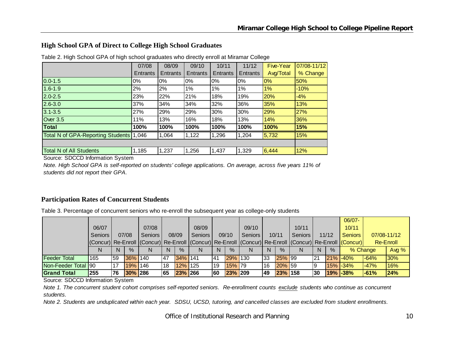#### **High School GPA of Direct to College High School Graduates**

|                                         | 07/08    | 08/09    | 09/10    | 10/11    | 11/12    | <b>Five-Year</b> | 07/08-11/12 |
|-----------------------------------------|----------|----------|----------|----------|----------|------------------|-------------|
|                                         | Entrants | Entrants | Entrants | Entrants | Entrants | Avg/Total        | % Change    |
| $0.0 - 1.5$                             | $0\%$    | $0\%$    | $0\%$    | 0%       | 0%       | $0\%$            | 50%         |
| $1.6 - 1.9$                             | 2%       | 2%       | 1%       | 1%       | 1%       | 1%               | $-10%$      |
| $2.0 - 2.5$                             | 23%      | 22%      | 21%      | 18%      | 19%      | 20%              | $-4%$       |
| $2.6 - 3.0$                             | 37%      | 34%      | 34%      | 32%      | 36%      | 35%              | 13%         |
| $3.1 - 3.5$                             | 27%      | 29%      | 29%      | 30%      | 30%      | 29%              | 27%         |
| <b>Over 3.5</b>                         | 11%      | 13%      | 16%      | 18%      | 13%      | 14%              | 36%         |
| <b>Total</b>                            | 100%     | 100%     | 100%     | 100%     | 100%     | 100%             | 15%         |
| Total N of GPA-Reporting Students 1,046 |          | 1,064    | 1,122    | 1,296    | 1,204    | 5,732            | 15%         |
|                                         |          |          |          |          |          |                  |             |
| <b>Total N of All Students</b>          | 1,185    | 1,237    | .256     | 1,437    | 1,329    | 6,444            | 12%         |

Table 2. High School GPA of high school graduates who directly enroll at Miramar College

Source: SDCCD Information System

*Note. High School GPA is self-reported on students' college applications. On average, across five years 11% of students did not report their GPA.*

#### **Participation Rates of Concurrent Students**

Table 3. Percentage of concurrent seniors who re-enroll the subsequent year as college-only students

|                     |                                                                                                         |     |         |         |     |         |         |     |         |                |     |         |         |           |       | $06/07 -$      |             |             |
|---------------------|---------------------------------------------------------------------------------------------------------|-----|---------|---------|-----|---------|---------|-----|---------|----------------|-----|---------|---------|-----------|-------|----------------|-------------|-------------|
|                     | 06/07                                                                                                   |     |         | 07/08   |     |         | 08/09   |     |         | 09/10          |     |         | 10/11   |           |       | 10/11          |             |             |
|                     | Seniors                                                                                                 |     | 07/08   | Seniors |     | 08/09   | Seniors |     | 09/10   | <b>Seniors</b> |     | 10/11   | Seniors |           | 11/12 | <b>Seniors</b> |             | 07/08-11/12 |
|                     | (Concur) Re-Enroll (Concur) Re-Enroll (Concur) Re-Enroll (Concur) Re-Enroll (Concur) Re-Enroll (Concur) |     |         |         |     |         |         |     |         |                |     |         |         |           |       |                |             | Re-Enroll   |
|                     | N                                                                                                       | N   | $\%$    |         | N   | $\%$    | N       | N.  | $\%$    | N              | N   | $\%$    | N       | N         | $\%$  |                | % Change    | Avg $%$     |
| <b>Feeder Total</b> | 165                                                                                                     | 59  | 36% 140 |         | 147 | 34% 141 |         | ,41 | 29% 130 |                | 133 | 25% 99  |         | 121       |       | $21\%$ -40%    | $-64%$      | 30%         |
| Non-Feeder Total 90 |                                                                                                         | 17  | 19% 146 |         | 18  | 12% 125 |         | 19  | 15% 79  |                | 16  | 20% 59  |         |           |       | $15\%$ -34%    | $-47%$      | 16%         |
| <b>Grand Total</b>  | 255                                                                                                     | 176 | 30% 286 |         | 65  | 23% 266 |         | 160 | 23% 209 |                | 49  | 23% 158 |         | <b>30</b> |       | $19\%$ -38%    | <b>-61%</b> | 24%         |

Source: SDCCD Information System

*Note 1. The concurrent student cohort comprises self-reported seniors. Re-enrollment counts exclude students who continue as concurrent students.* 

*Note 2. Students are unduplicated within each year. SDSU, UCSD, tutoring, and cancelled classes are excluded from student enrollments.*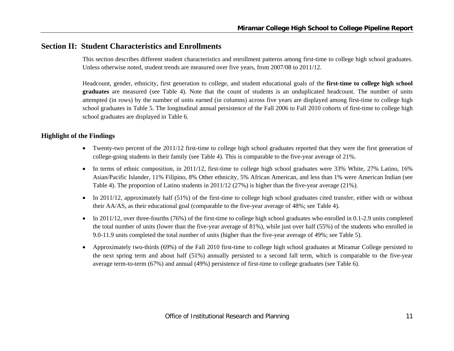## **Section II: Student Characteristics and Enrollments**

This section describes different student characteristics and enrollment patterns among first-time to college high school graduates. Unless otherwise noted, student trends are measured over five years, from 2007/08 to 2011/12.

Headcount, gender, ethnicity, first generation to college, and student educational goals of the **first-time to college high school graduates** are measured (see Table 4). Note that the count of students is an unduplicated headcount. The number of units attempted (in rows) by the number of units earned (in columns) across five years are displayed among first-time to college high school graduates in Table 5. The longitudinal annual persistence of the Fall 2006 to Fall 2010 cohorts of first-time to college high school graduates are displayed in Table 6.

#### **Highlight of the Findings**

- Twenty-two percent of the 2011/12 first-time to college high school graduates reported that they were the first generation of college-going students in their family (see Table 4). This is comparable to the five-year average of 21%.
- In terms of ethnic composition, in 2011/12, first-time to college high school graduates were 33% White, 27% Latino, 16% Asian/Pacific Islander, 11% Filipino, 8% Other ethnicity, 5% African American, and less than 1% were American Indian (see Table 4). The proportion of Latino students in 2011/12 (27%) is higher than the five-year average (21%).
- In 2011/12, approximately half (51%) of the first-time to college high school graduates cited transfer, either with or without their AA/AS, as their educational goal (comparable to the five-year average of 48%; see Table 4).
- $\bullet$  In 2011/12, over three-fourths (76%) of the first-time to college high school graduates who enrolled in 0.1-2.9 units completed the total number of units (lower than the five-year average of 81%), while just over half (55%) of the students who enrolled in 9.0-11.9 units completed the total number of units (higher than the five-year average of 49%; see Table 5).
- $\bullet$  Approximately two-thirds (69%) of the Fall 2010 first-time to college high school graduates at Miramar College persisted to the next spring term and about half (51%) annually persisted to a second fall term, which is comparable to the five-year average term-to-term (67%) and annual (49%) persistence of first-time to college graduates (see Table 6).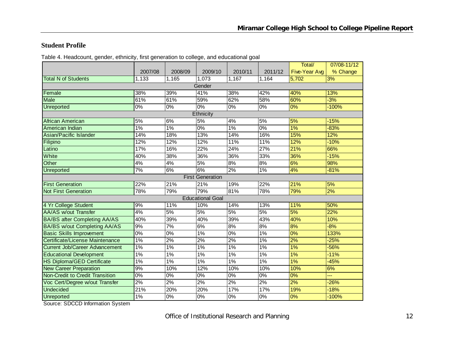#### **Student Profile**

Table 4. Headcount, gender, ethnicity, first generation to college, and educational goal

|                                        |         |         |                         |                  |         | Total/               | 07/08-11/12 |
|----------------------------------------|---------|---------|-------------------------|------------------|---------|----------------------|-------------|
|                                        | 2007/08 | 2008/09 | 2009/10                 | 2010/11          | 2011/12 | <b>Five-Year Avg</b> | % Change    |
| <b>Total N of Students</b>             | 1.133   | 1,165   | 1,073                   | 1,167            | 1,164   | 5,702                | 3%          |
|                                        |         |         | Gender                  |                  |         |                      |             |
| Female                                 | 38%     | 39%     | 41%                     | 38%              | 42%     | 40%                  | 13%         |
| <b>Male</b>                            | 61%     | 61%     | 59%                     | 62%              | 58%     | 60%                  | $-3%$       |
| <b>Unreported</b>                      | 0%      | $0\%$   | $0\%$                   | 0%               | $0\%$   | 0%                   | $-100%$     |
|                                        |         |         | Ethnicity               |                  |         |                      |             |
| African American                       | 5%      | 6%      | 5%                      | 4%               | 5%      | 5%                   | $-15%$      |
| American Indian                        | $1\%$   | 1%      | $0\%$                   | 1%               | 0%      | 1%                   | $-83%$      |
| <b>Asian/Pacific Islander</b>          | 14%     | 18%     | 13%                     | 14%              | 16%     | 15%                  | 12%         |
| Filipino                               | 12%     | 12%     | 12%                     | 11%              | 11%     | 12%                  | $-10%$      |
| Latino                                 | 17%     | 16%     | 22%                     | 24%              | 27%     | 21%                  | 66%         |
| White                                  | 40%     | 38%     | 36%                     | 36%              | 33%     | 36%                  | $-15%$      |
| Other                                  | 4%      | 4%      | 5%                      | 8%               | 8%      | 6%                   | 98%         |
| <b>Unreported</b>                      | 7%      | 6%      | 6%                      | 2%               | 1%      | 4%                   | $-81%$      |
|                                        |         |         | <b>First Generation</b> |                  |         |                      |             |
| <b>First Generation</b>                | 22%     | 21%     | 21%                     | 19%              | 22%     | 21%                  | 5%          |
| <b>Not First Generation</b>            | 78%     | 79%     | 79%                     | 81%              | 78%     | 79%                  | 2%          |
|                                        |         |         | <b>Educational Goal</b> |                  |         |                      |             |
| 4 Yr College Student                   | 9%      | 11%     | 10%                     | 14%              | 13%     | 11%                  | 50%         |
| <b>AA/AS w/out Transfer</b>            | 4%      | 5%      | 5%                      | 5%               | 5%      | 5%                   | 22%         |
| <b>BA/BS after Completing AA/AS</b>    | 40%     | 39%     | 40%                     | 39%              | 43%     | 40%                  | 10%         |
| <b>BA/BS w/out Completing AA/AS</b>    | 9%      | 7%      | 6%                      | 8%               | 8%      | 8%                   | $-8%$       |
| <b>Basic Skills Improvement</b>        | 0%      | $0\%$   | $1\%$                   | 0%               | 1%      | 0%                   | 133%        |
| Certificate/License Maintenance        | 1%      | 2%      | 2%                      | 2%               | 1%      | 2%                   | $-25%$      |
| <b>Current Job/Career Advancement</b>  | $1\%$   | $1\%$   | 1%                      | $1\%$            | 1%      | $1\%$                | 56%         |
| <b>Educational Development</b>         | 1%      | $1\%$   | $1\%$                   | 1%               | 1%      | 1%                   | $-11%$      |
| <b>HS Diploma/GED Certificate</b>      | $1\%$   | $1\%$   | 1%                      | $1\%$            | $1\%$   | $1\%$                | 45%         |
| <b>New Career Preparation</b>          | 9%      | 10%     | 12%                     | 10%              | 10%     | 10%                  | 6%          |
| <b>Non-Credit to Credit Transition</b> | $0\%$   | 0%      | 0%                      | $0\%$            | 0%      | $\overline{0\%}$     |             |
| Voc Cert/Degree w/out Transfer         | 2%      | 2%      | 2%                      | 2%               | 2%      | 2%                   | $-26%$      |
| <b>Undecided</b>                       | 21%     | 20%     | 20%                     | 17%              | 17%     | 19%                  | $-18%$      |
| <b>Unreported</b>                      | 1%      | 0%      | $0\%$                   | $\overline{0\%}$ | $0\%$   | 0%                   | $-100%$     |

Source: SDCCD Information System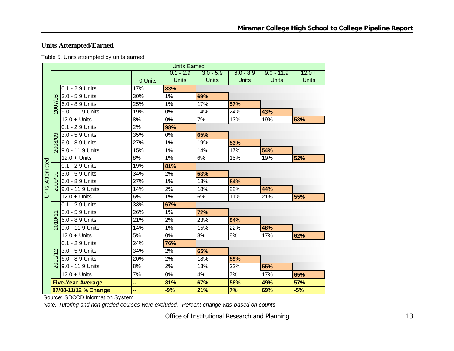## **Units Attempted/Earned**

Table 5. Units attempted by units earned

|                        |                   |                          |         | <b>Units Earned</b> |              |              |              |              |
|------------------------|-------------------|--------------------------|---------|---------------------|--------------|--------------|--------------|--------------|
|                        |                   |                          |         | $0.1 - 2.9$         | $3.0 - 5.9$  | $6.0 - 8.9$  | $9.0 - 11.9$ | $12.0 +$     |
|                        |                   |                          | 0 Units | <b>Units</b>        | <b>Units</b> | <b>Units</b> | <b>Units</b> | <b>Units</b> |
|                        |                   | 0.1 - 2.9 Units          | 17%     | 83%                 |              |              |              |              |
|                        |                   | 3.0 - 5.9 Units          | 30%     | $1\%$               | 69%          |              |              |              |
|                        | 2007/08           | 6.0 - 8.9 Units          | 25%     | 1%                  | 17%          | 57%          |              |              |
|                        |                   | 9.0 - 11.9 Units         | 19%     | 0%                  | 14%          | 24%          | 43%          |              |
|                        |                   | $12.0 +$ Units           | 8%      | 0%                  | 7%           | 13%          | 19%          | 53%          |
|                        |                   | 0.1 - 2.9 Units          | 2%      | 98%                 |              |              |              |              |
|                        |                   | 3.0 - 5.9 Units          | 35%     | 0%                  | 65%          |              |              |              |
|                        | 2008/09           | 6.0 - 8.9 Units          | 27%     | 1%                  | 19%          | 53%          |              |              |
|                        |                   | 9.0 - 11.9 Units         | 15%     | 1%                  | 14%          | 17%          | 54%          |              |
|                        |                   | $12.0 +$ Units           | 8%      | 1%                  | 6%           | 15%          | 19%          | 52%          |
| <b>Units Attempted</b> |                   | 0.1 - 2.9 Units          | 19%     | 81%                 |              |              |              |              |
|                        |                   | 3.0 - 5.9 Units          | 34%     | 2%                  | 63%          |              |              |              |
|                        | 2009              | 6.0 - 8.9 Units          | 27%     | 1%                  | 18%          | 54%          |              |              |
|                        |                   | 9.0 - 11.9 Units         | 14%     | 2%                  | 18%          | 22%          | 44%          |              |
|                        |                   | $12.0 +$ Units           | 6%      | 1%                  | 6%           | 11%          | 21%          | 55%          |
|                        |                   | 0.1 - 2.9 Units          | 33%     | 67%                 |              |              |              |              |
|                        |                   | 3.0 - 5.9 Units          | 26%     | 1%                  | 72%          |              |              |              |
|                        | $\delta$          | 6.0 - 8.9 Units          | 21%     | 2%                  | 23%          | 54%          |              |              |
|                        | $\overline{5}$    | 9.0 - 11.9 Units         | 14%     | 1%                  | 15%          | 22%          | 48%          |              |
|                        |                   | $12.0 +$ Units           | 5%      | 0%                  | 8%           | 8%           | 17%          | 62%          |
|                        |                   | 0.1 - 2.9 Units          | 24%     | 76%                 |              |              |              |              |
|                        | $\mathbf{\Omega}$ | $3.0 - 5.9$ Units        | 34%     | $2\%$               | 65%          |              |              |              |
|                        | $\frac{1}{1}$     | 6.0 - 8.9 Units          | 20%     | 2%                  | 18%          | 59%          |              |              |
|                        | $\overline{5}$    | 9.0 - 11.9 Units         | 8%      | $2\%$               | 13%          | 22%          | 55%          |              |
|                        |                   | $12.0 +$ Units           | 7%      | 0%                  | 4%           | 7%           | 17%          | 65%          |
|                        |                   | <b>Five-Year Average</b> |         | 81%                 | 67%          | 56%          | 49%          | 57%          |
|                        |                   | 07/08-11/12 % Change     | --      | $-9%$               | 21%          | 7%           | 69%          | $-5%$        |

Source: SDCCD Information System

*Note. Tutoring and non-graded courses were excluded. Percent change was based on counts.*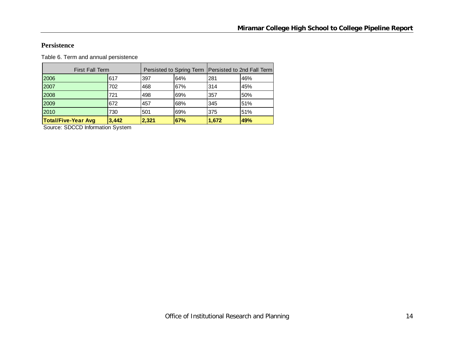#### **Persistence**

Table 6. Term and annual persistence

| <b>First Fall Term</b>     |       |       | Persisted to Spring Term   Persisted to 2nd Fall Term |       |     |
|----------------------------|-------|-------|-------------------------------------------------------|-------|-----|
| 2006                       | 617   | 397   | 64%                                                   | 281   | 46% |
| 2007                       | 702   | 468   | 67%                                                   | 314   | 45% |
| 2008                       | 721   | 498   | 69%                                                   | 357   | 50% |
| 2009                       | 672   | 457   | 68%                                                   | 345   | 51% |
| 2010                       | 730   | 501   | 69%                                                   | 375   | 51% |
| <b>Total/Five-Year Avg</b> | 3,442 | 2,321 | 67%                                                   | 1,672 | 49% |

Source: SDCCD Information System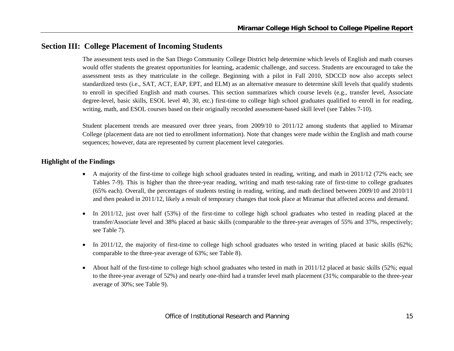## **Section III: College Placement of Incoming Students**

The assessment tests used in the San Diego Community College District help determine which levels of English and math courses would offer students the greatest opportunities for learning, academic challenge, and success. Students are encouraged to take the assessment tests as they matriculate in the college. Beginning with a pilot in Fall 2010, SDCCD now also accepts select standardized tests (i.e., SAT, ACT, EAP, EPT, and ELM) as an alternative measure to determine skill levels that qualify students to enroll in specified English and math courses. This section summarizes which course levels (e.g., transfer level, Associate degree-level, basic skills, ESOL level 40, 30, etc.) first-time to college high school graduates qualified to enroll in for reading, writing, math, and ESOL courses based on their originally recorded assessment-based skill level (see Tables 7-10).

Student placement trends are measured over three years, from 2009/10 to 2011/12 among students that applied to Miramar College (placement data are not tied to enrollment information). Note that changes were made within the English and math course sequences; however, data are represented by current placement level categories.

#### **Highlight of the Findings**

- A majority of the first-time to college high school graduates tested in reading, writing, and math in 2011/12 (72% each; see Tables 7-9). This is higher than the three-year reading, writing and math test-taking rate of first-time to college graduates (65% each). Overall, the percentages of students testing in reading, writing, and math declined between 2009/10 and 2010/11 and then peaked in 2011/12, likely a result of temporary changes that took place at Miramar that affected access and demand.
- 6 In 2011/12, just over half (53%) of the first-time to college high school graduates who tested in reading placed at the transfer/Associate level and 38% placed at basic skills (comparable to the three-year averages of 55% and 37%, respectively; see Table 7).
- $\bullet$ In 2011/12, the majority of first-time to college high school graduates who tested in writing placed at basic skills (62%; comparable to the three-year average of 63%; see Table 8).
- e About half of the first-time to college high school graduates who tested in math in 2011/12 placed at basic skills (52%; equal to the three-year average of 52%) and nearly one-third had a transfer level math placement (31%; comparable to the three-year average of 30%; see Table 9).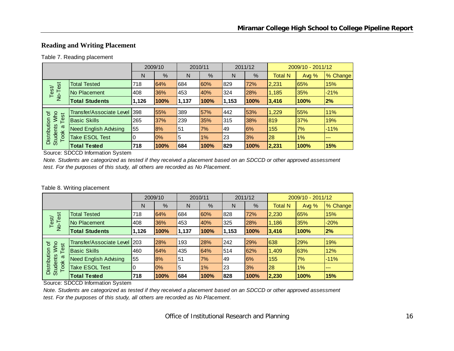## **Reading and Writing Placement**

#### Table 7. Reading placement

|                                         |                                 |       | 2009/10 |       | 2010/11 |       | 2011/12 |                | 2009/10 - 2011/12 |               |
|-----------------------------------------|---------------------------------|-------|---------|-------|---------|-------|---------|----------------|-------------------|---------------|
|                                         |                                 | N     | %       | N     | $\%$    | N     | %       | <b>Total N</b> | Avg $%$           | % Change      |
|                                         | <b>Total Tested</b>             | 718   | 64%     | 684   | 60%     | 829   | 72%     | 2,231          | 65%               | 15%           |
| No-Test<br>Test                         | No Placement                    | 408   | 36%     | 453   | 40%     | 324   | 28%     | 1,185          | 35%               | $-21%$        |
|                                         | <b>Total Students</b>           | 1,126 | 100%    | 1,137 | 100%    | 1,153 | 100%    | 3,416          | 100%              | 2%            |
|                                         |                                 |       |         |       |         |       |         |                |                   |               |
| ৳                                       | <b>Transfer/Associate Level</b> | 398   | 55%     | 389   | 57%     | 442   | 53%     | 1,229          | 55%               | 11%           |
| <b>Nho</b><br>Test                      | <b>Basic Skills</b>             | 265   | 37%     | 239   | 35%     | 315   | 38%     | <b>819</b>     | 37%               | 19%           |
| $\sigma$                                | <b>Need English Advising</b>    | 55    | 8%      | 51    | 7%      | 49    | 6%      | 155            | 7%                | $-11%$        |
| Distribution<br><b>Students</b><br>Took | <b>Take ESOL Test</b>           | 0     | 0%      | 5     | 1%      | 23    | 3%      | 28             | $1\%$             | $\frac{1}{2}$ |
|                                         | <b>Total Tested</b>             | 718   | 100%    | 684   | 100%    | 829   | 100%    | 2,231          | 100%              | 15%           |

Source: SDCCD Information System

*Note. Students are categorized as tested if they received a placement based on an SDCCD or other approved assessment test. For the purposes of this study, all others are recorded as No Placement.*

#### Table 8. Writing placement

|                                                |                              |       | 2009/10 |       | 2010/11 |       | 2011/12 |                | 2009/10 - 2011/12 |               |
|------------------------------------------------|------------------------------|-------|---------|-------|---------|-------|---------|----------------|-------------------|---------------|
|                                                |                              | N     | $\%$    | N     | %       | Ν     | %       | <b>Total N</b> | Avg %             | % Change      |
|                                                | <b>Total Tested</b>          | 718   | 64%     | 684   | 60%     | 828   | 72%     | 2,230          | 65%               | 15%           |
| No-Test<br>Test                                | No Placement                 | 408   | 36%     | 453   | 40%     | 325   | 28%     | 1,186          | 35%               | $-20%$        |
|                                                | <b>Total Students</b>        | 1,126 | 100%    | 1,137 | 100%    | 1,153 | 100%    | 3,416          | 100%              | 2%            |
|                                                |                              |       |         |       |         |       |         |                |                   |               |
| ৳                                              | Transfer/Associate Level 203 |       | 28%     | 193   | 28%     | 242   | 29%     | 638            | 29%               | 19%           |
| Who<br>est                                     | <b>Basic Skills</b>          | 460   | 64%     | 435   | 64%     | 514   | 62%     | 1,409          | 63%               | 12%           |
| σ                                              | <b>Need English Advising</b> | 55    | 8%      | 51    | 7%      | 49    | 6%      | 155            | 7%                | $-11%$        |
| Distribution<br><b>Students</b><br><b>Took</b> | Take ESOL Test               | 10    | $0\%$   | 5     | 1%      | 23    | 3%      | 28             | $1\%$             | $\frac{1}{2}$ |
|                                                | <b>Total Tested</b>          | 718   | 100%    | 684   | 100%    | 828   | 100%    | 2,230          | 100%              | <b>15%</b>    |

Source: SDCCD Information System

*Note. Students are categorized as tested if they received a placement based on an SDCCD or other approved assessment test. For the purposes of this study, all others are recorded as No Placement.*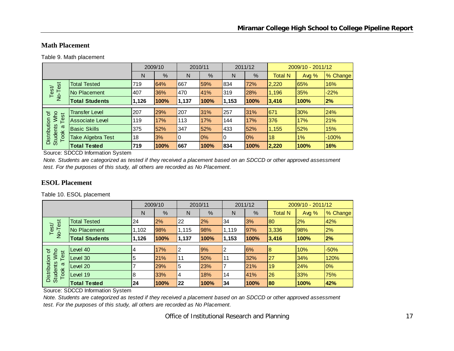## **Math Placement**

Table 9. Math placement

|                                                |                          |       | 2009/10 |       | 2010/11 |       | 2011/12       |                | 2009/10 - 2011/12 |          |
|------------------------------------------------|--------------------------|-------|---------|-------|---------|-------|---------------|----------------|-------------------|----------|
|                                                |                          | N     | %       | N     | %       | N     | $\frac{0}{0}$ | <b>Total N</b> | Avg $%$           | % Change |
| est                                            | <b>Total Tested</b>      | 719   | 64%     | 667   | 59%     | 834   | 72%           | 2,220          | 65%               | 16%      |
| Test<br>$\overline{2}$                         | No Placement             | 407   | 36%     | 470   | 41%     | 319   | 28%           | 1,196          | 35%               | $-22%$   |
|                                                | <b>Total Students</b>    | 1,126 | 100%    | 1,137 | 100%    | 1,153 | 100%          | 3,416          | 100%              | 2%       |
|                                                | <b>Transfer Level</b>    | 207   | 29%     | 207   | 31%     | 257   | 31%           | 671            | 30%               | 24%      |
| Who<br>'ত<br>est                               |                          |       |         |       |         |       |               |                |                   |          |
|                                                | <b>Associate Level</b>   | 119   | 17%     | 113   | 17%     | 144   | 17%           | 376            | 17%               | 21%      |
| σ                                              | <b>Basic Skills</b>      | 375   | 52%     | 347   | 52%     | 433   | 52%           | 1,155          | 52%               | 15%      |
| Distribution<br><b>Students</b><br><b>Took</b> | <b>Take Algebra Test</b> | 18    | 3%      | 10    | 0%      | 0     | 0%            | 18             | $1\%$             | $-100%$  |
|                                                | <b>Total Tested</b>      | 719   | 100%    | 667   | 100%    | 834   | 100%          | 2,220          | 100%              | 16%      |

Source: SDCCD Information System

*Note. Students are categorized as tested if they received a placement based on an SDCCD or other approved assessment test. For the purposes of this study, all others are recorded as No Placement.*

## **ESOL Placement**

Table 10. ESOL placement

|                                         |                       |       | 2009/10 |       | 2010/11 |                | 2011/12 |                | 2009/10 - 2011/12 |          |
|-----------------------------------------|-----------------------|-------|---------|-------|---------|----------------|---------|----------------|-------------------|----------|
|                                         |                       | N     | %       | N     | %       | N              | %       | <b>Total N</b> | Avg %             | % Change |
| est                                     | <b>Total Tested</b>   | 24    | 2%      | 22    | 2%      | 34             | 3%      | 80             | 2%                | 42%      |
| Test/<br>$\overline{P}$                 | No Placement          | 1,102 | 98%     | 1,115 | 98%     | 1,119          | 97%     | 3,336          | 98%               | 2%       |
|                                         | <b>Total Students</b> | 1.126 | 100%    | 1,137 | 100%    | 1,153          | 100%    | 3,416          | 100%              | 2%       |
|                                         |                       |       |         |       |         |                |         |                |                   |          |
| <b>Mho</b><br>৳                         | Level 40              | 4     | 17%     | っ     | 9%      | $\overline{2}$ | 6%      | 8              | 10%               | $-50%$   |
| Test                                    | Level 30              | 5     | 21%     | 11    | 50%     | 11             | 32%     | 27             | 34%               | 120%     |
| ω                                       | Level 20              |       | 29%     | 5     | 23%     | ⇁              | 21%     | 19             | 24%               | $0\%$    |
| Distribution<br><b>Students</b><br>Took | Level 19              | 8     | 33%     | 4     | 18%     | 14             | 41%     | 26             | 33%               | 75%      |
|                                         | <b>Total Tested</b>   | 24    | 100%    | 22    | 100%    | 34             | 100%    | 80             | 100%              | 42%      |

Source: SDCCD Information System

*Note. Students are categorized as tested if they received a placement based on an SDCCD or other approved assessment test. For the purposes of this study, all others are recorded as No Placement.*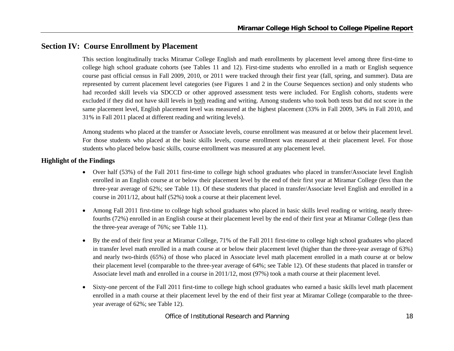## **Section IV: Course Enrollment by Placement**

This section longitudinally tracks Miramar College English and math enrollments by placement level among three first-time to college high school graduate cohorts (see Tables 11 and 12). First-time students who enrolled in a math or English sequence course past official census in Fall 2009, 2010, or 2011 were tracked through their first year (fall, spring, and summer). Data are represented by current placement level categories (see Figures 1 and 2 in the Course Sequences section) and only students who had recorded skill levels via SDCCD or other approved assessment tests were included. For English cohorts, students were excluded if they did not have skill levels in both reading and writing. Among students who took both tests but did not score in the same placement level, English placement level was measured at the highest placement (33% in Fall 2009, 34% in Fall 2010, and 31% in Fall 2011 placed at different reading and writing levels).

Among students who placed at the transfer or Associate levels, course enrollment was measured at or below their placement level. For those students who placed at the basic skills levels, course enrollment was measured at their placement level. For those students who placed below basic skills, course enrollment was measured at any placement level.

#### **Highlight of the Findings**

- Over half (53%) of the Fall 2011 first-time to college high school graduates who placed in transfer/Associate level English enrolled in an English course at or below their placement level by the end of their first year at Miramar College (less than the three-year average of 62%; see Table 11). Of these students that placed in transfer/Associate level English and enrolled in a course in 2011/12, about half (52%) took a course at their placement level.
- 0 Among Fall 2011 first-time to college high school graduates who placed in basic skills level reading or writing, nearly threefourths (72%) enrolled in an English course at their placement level by the end of their first year at Miramar College (less than the three-year average of 76%; see Table 11).
- $\bullet$  By the end of their first year at Miramar College, 71% of the Fall 2011 first-time to college high school graduates who placed in transfer level math enrolled in a math course at or below their placement level (higher than the three-year average of 63%) and nearly two-thirds (65%) of those who placed in Associate level math placement enrolled in a math course at or below their placement level (comparable to the three-year average of 64%; see Table 12). Of these students that placed in transfer or Associate level math and enrolled in a course in 2011/12, most (97%) took a math course at their placement level.
- 0 Sixty-one percent of the Fall 2011 first-time to college high school graduates who earned a basic skills level math placement enrolled in a math course at their placement level by the end of their first year at Miramar College (comparable to the threeyear average of 62%; see Table 12).